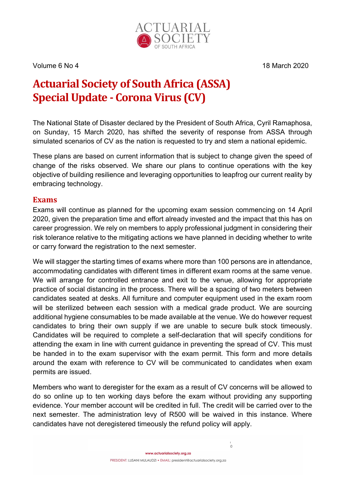

Volume 6 No 4 18 March 2020

# Actuarial Society of South Africa (ASSA) Special Update - Corona Virus (CV)

The National State of Disaster declared by the President of South Africa, Cyril Ramaphosa, on Sunday, 15 March 2020, has shifted the severity of response from ASSA through simulated scenarios of CV as the nation is requested to try and stem a national epidemic.

These plans are based on current information that is subject to change given the speed of change of the risks observed. We share our plans to continue operations with the key objective of building resilience and leveraging opportunities to leapfrog our current reality by embracing technology.

#### Exams

Exams will continue as planned for the upcoming exam session commencing on 14 April 2020, given the preparation time and effort already invested and the impact that this has on career progression. We rely on members to apply professional judgment in considering their risk tolerance relative to the mitigating actions we have planned in deciding whether to write or carry forward the registration to the next semester.

We will stagger the starting times of exams where more than 100 persons are in attendance, accommodating candidates with different times in different exam rooms at the same venue. We will arrange for controlled entrance and exit to the venue, allowing for appropriate practice of social distancing in the process. There will be a spacing of two meters between candidates seated at desks. All furniture and computer equipment used in the exam room will be sterilized between each session with a medical grade product. We are sourcing additional hygiene consumables to be made available at the venue. We do however request candidates to bring their own supply if we are unable to secure bulk stock timeously. Candidates will be required to complete a self-declaration that will specify conditions for attending the exam in line with current guidance in preventing the spread of CV. This must be handed in to the exam supervisor with the exam permit. This form and more details around the exam with reference to CV will be communicated to candidates when exam permits are issued.

Members who want to deregister for the exam as a result of CV concerns will be allowed to do so online up to ten working days before the exam without providing any supporting evidence. Your member account will be credited in full. The credit will be carried over to the next semester. The administration levy of R500 will be waived in this instance. Where candidates have not deregistered timeously the refund policy will apply.

 $\circ$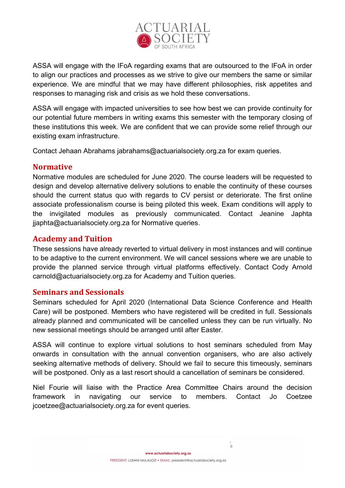

ASSA will engage with the IFoA regarding exams that are outsourced to the IFoA in order to align our practices and processes as we strive to give our members the same or similar experience. We are mindful that we may have different philosophies, risk appetites and responses to managing risk and crisis as we hold these conversations.

ASSA will engage with impacted universities to see how best we can provide continuity for our potential future members in writing exams this semester with the temporary closing of these institutions this week. We are confident that we can provide some relief through our existing exam infrastructure.

Contact Jehaan Abrahams jabrahams@actuarialsociety.org.za for exam queries.

#### Normative

Normative modules are scheduled for June 2020. The course leaders will be requested to design and develop alternative delivery solutions to enable the continuity of these courses should the current status quo with regards to CV persist or deteriorate. The first online associate professionalism course is being piloted this week. Exam conditions will apply to the invigilated modules as previously communicated. Contact Jeanine Japhta jjaphta@actuarialsociety.org.za for Normative queries.

# Academy and Tuition

These sessions have already reverted to virtual delivery in most instances and will continue to be adaptive to the current environment. We will cancel sessions where we are unable to provide the planned service through virtual platforms effectively. Contact Cody Arnold carnold@actuarialsociety.org.za for Academy and Tuition queries.

### Seminars and Sessionals

Seminars scheduled for April 2020 (International Data Science Conference and Health Care) will be postponed. Members who have registered will be credited in full. Sessionals already planned and communicated will be cancelled unless they can be run virtually. No new sessional meetings should be arranged until after Easter.

ASSA will continue to explore virtual solutions to host seminars scheduled from May onwards in consultation with the annual convention organisers, who are also actively seeking alternative methods of delivery. Should we fail to secure this timeously, seminars will be postponed. Only as a last resort should a cancellation of seminars be considered.

Niel Fourie will liaise with the Practice Area Committee Chairs around the decision framework in navigating our service to members. Contact Jo Coetzee jcoetzee@actuarialsociety.org.za for event queries.